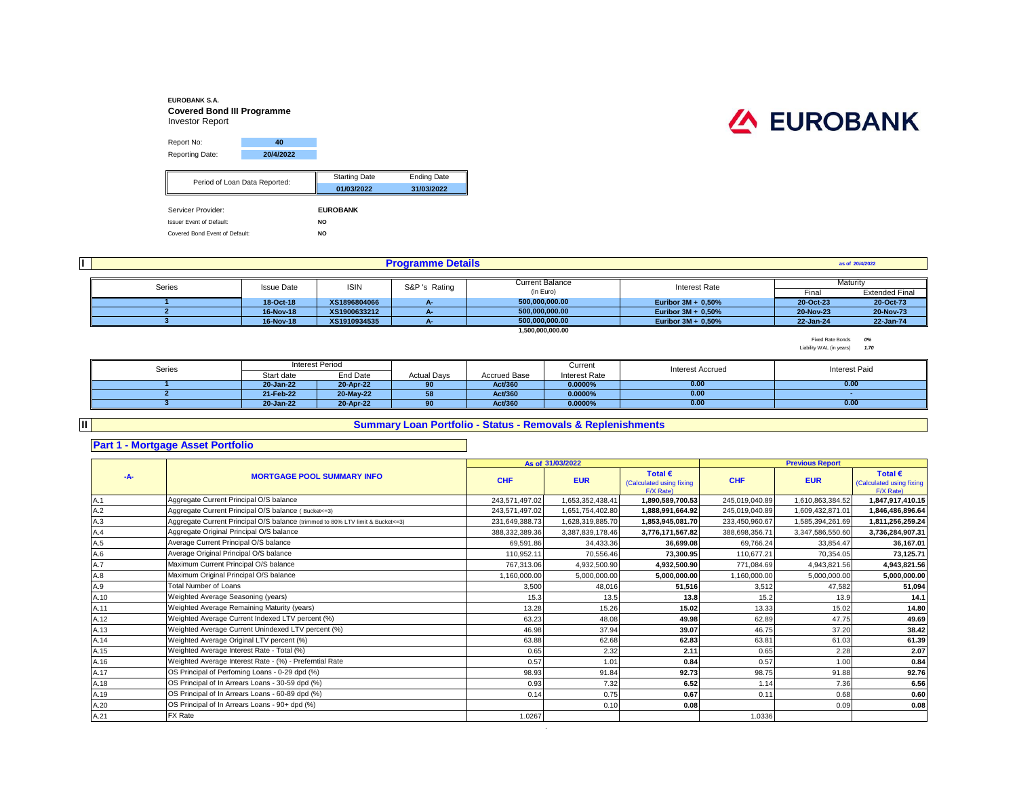#### **EUROBANK S.A. Covered Bond III Programme** Investor Report Report No: **40** Reporting Date: **20/4/2022** Starting Date Ending Date **01/03/2022 31/03/2022** Servicer Provider: **EUROBANK** Issuer Event of Default: **NO** Covered Bond Event of Default: **NO** Period of Loan Data Reported:

### **I**

**II**

#### **Programme Details**

| Series | <b>Issue Date</b> | <b>ISIN</b>  | S&P 's Rating | <b>Current Balance</b> | <b>Interest Rate</b>  | Maturity  |                       |
|--------|-------------------|--------------|---------------|------------------------|-----------------------|-----------|-----------------------|
|        |                   |              |               | (in Euro)              |                       | Fina      | <b>Extended Final</b> |
|        | 18-Oct-18         | XS1896804066 |               | 500.000.000.00         | Euribor $3M + 0.50\%$ | 20-Oct-23 | 20-Oct-73             |
|        | 16-Nov-18         | XS1900633212 |               | 500.000.000.00         | Euribor $3M + 0.50\%$ | 20-Nov-23 | 20-Nov-73             |
|        | 16-Nov-18         | XS1910934535 |               | 500.000.000.00         | Euribor $3M + 0.50\%$ | 22-Jan-24 | 22-Jan-74             |

**1,500,000,000.00**

Fixed Rate Bonds *0%* Liability WAL (in years) *1.70*

**as of 20/4/2022**

| Series | Interest Period |           |                    |              | Current       | <b>Interest Accrued</b> | <b>Interest Paid</b> |
|--------|-----------------|-----------|--------------------|--------------|---------------|-------------------------|----------------------|
|        | Start date      | End Date  | <b>Actual Davs</b> | Accrued Base | Interest Rate |                         |                      |
|        | 20-Jan-22       | 20-Apr-22 | 90                 | Act/360      | $0.0000\%$    | 0.00                    | 0.00                 |
|        | 21-Feb-22       | 20-May-22 |                    | Act/360      | $0.0000\%$    | 0.00                    |                      |
|        | 20-Jan-22       | 20-Apr-22 | 90                 | Act/360      | $0.0000\%$    | 0.00                    | 0.00                 |

# **Summary Loan Portfolio - Status - Removals & Replenishments**

#### **Part 1 - Mortgage Asset Portfolio**

|       |                                                                                  |                | As of 31/03/2022 |                                                           |                | <b>Previous Report</b> |                                                           |
|-------|----------------------------------------------------------------------------------|----------------|------------------|-----------------------------------------------------------|----------------|------------------------|-----------------------------------------------------------|
| $-A-$ | <b>MORTGAGE POOL SUMMARY INFO</b>                                                | <b>CHF</b>     | <b>EUR</b>       | Total $\epsilon$<br>(Calculated using fixing<br>F/X Rate) | <b>CHF</b>     | <b>EUR</b>             | Total $\epsilon$<br>(Calculated using fixing<br>F/X Rate) |
| A.1   | Aggregate Current Principal O/S balance                                          | 243,571,497.02 | 1,653,352,438.41 | 1,890,589,700.53                                          | 245,019,040.89 | 1,610,863,384.52       | 1,847,917,410.15                                          |
| A.2   | Aggregate Current Principal O/S balance (Bucket <= 3)                            | 243.571.497.02 | 1,651,754,402.80 | 1.888.991.664.92                                          | 245,019,040.89 | 1,609,432,871.01       | 1,846,486,896.64                                          |
| A.3   | Aggregate Current Principal O/S balance (trimmed to 80% LTV limit & Bucket <= 3) | 231,649,388.73 | 1,628,319,885.70 | 1,853,945,081.70                                          | 233,450,960.67 | 1,585,394,261.69       | 1,811,256,259.24                                          |
| A.4   | Aggregate Original Principal O/S balance                                         | 388,332,389.36 | 3.387.839.178.46 | 3,776,171,567.82                                          | 388,698,356.71 | 3,347,586,550.60       | 3,736,284,907.31                                          |
| A.5   | Average Current Principal O/S balance                                            | 69.591.86      | 34.433.36        | 36.699.08                                                 | 69.766.24      | 33.854.47              | 36.167.01                                                 |
| A.6   | Average Original Principal O/S balance                                           | 110.952.11     | 70,556.46        | 73.300.95                                                 | 110,677.21     | 70,354.05              | 73,125.71                                                 |
| A.7   | Maximum Current Principal O/S balance                                            | 767,313.06     | 4,932,500.90     | 4,932,500.90                                              | 771,084.69     | 4,943,821.56           | 4,943,821.56                                              |
| A.8   | Maximum Original Principal O/S balance                                           | 1.160.000.00   | 5,000,000.00     | 5,000,000.00                                              | 1,160,000.00   | 5,000,000.00           | 5,000,000.00                                              |
| A.9   | <b>Total Number of Loans</b>                                                     | 3,500          | 48,016           | 51,516                                                    | 3,512          | 47.582                 | 51,094                                                    |
| A.10  | Weighted Average Seasoning (years)                                               | 15.3           | 13.5             | 13.8                                                      | 15.2           | 13.9                   | 14.1                                                      |
| A.11  | Weighted Average Remaining Maturity (years)                                      | 13.28          | 15.26            | 15.02                                                     | 13.33          | 15.02                  | 14.80                                                     |
| A.12  | Weighted Average Current Indexed LTV percent (%)                                 | 63.23          | 48.08            | 49.98                                                     | 62.89          | 47.75                  | 49.69                                                     |
| A.13  | Weighted Average Current Unindexed LTV percent (%)                               | 46.98          | 37.94            | 39.07                                                     | 46.75          | 37.20                  | 38.42                                                     |
| A.14  | Weighted Average Original LTV percent (%)                                        | 63.88          | 62.68            | 62.83                                                     | 63.81          | 61.03                  | 61.39                                                     |
| A.15  | Weighted Average Interest Rate - Total (%)                                       | 0.65           | 2.32             | 2.11                                                      | 0.65           | 2.28                   | 2.07                                                      |
| A.16  | Weighted Average Interest Rate - (%) - Preferntial Rate                          | 0.57           | 1.01             | 0.84                                                      | 0.57           | 1.00                   | 0.84                                                      |
| A.17  | OS Principal of Perfoming Loans - 0-29 dpd (%)                                   | 98.93          | 91.84            | 92.73                                                     | 98.75          | 91.88                  | 92.76                                                     |
| A.18  | OS Principal of In Arrears Loans - 30-59 dpd (%)                                 | 0.93           | 7.32             | 6.52                                                      | 1.14           | 7.36                   | 6.56                                                      |
| A.19  | OS Principal of In Arrears Loans - 60-89 dpd (%)                                 | 0.14           | 0.75             | 0.67                                                      | 0.11           | 0.68                   | 0.60                                                      |
| A.20  | OS Principal of In Arrears Loans - 90+ dpd (%)                                   |                | 0.10             | 0.08                                                      |                | 0.09                   | 0.08                                                      |
| A.21  | FX Rate                                                                          | 1.0267         |                  |                                                           | 1.0336         |                        |                                                           |

.

# **EUROBANK**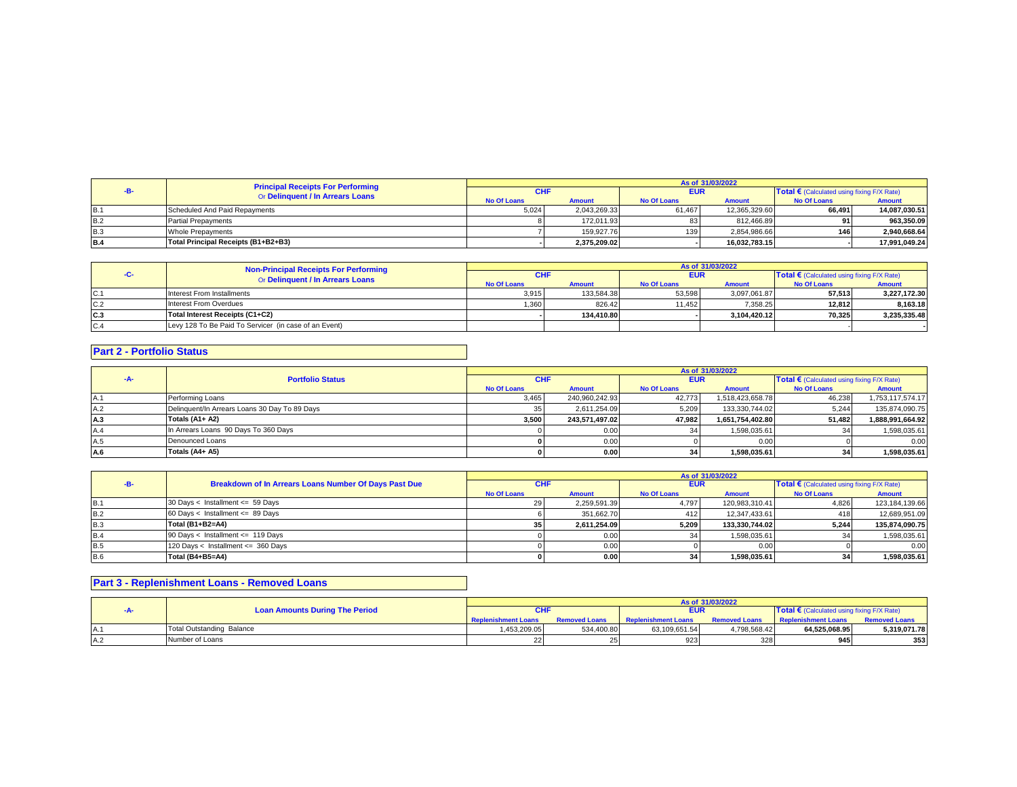|            | <b>Principal Receipts For Performing</b><br>Or Delinquent / In Arrears Loans | As of 31/03/2022 |               |             |               |                                            |               |  |
|------------|------------------------------------------------------------------------------|------------------|---------------|-------------|---------------|--------------------------------------------|---------------|--|
|            |                                                                              | <b>CHI</b>       |               | <b>EUR</b>  |               | Total € (Calculated using fixing F/X Rate) |               |  |
|            |                                                                              | No Of Loans      | <b>Amount</b> | No Of Loans | <b>Amount</b> | No Of Loans                                | Amount        |  |
| B.1        | Scheduled And Paid Repayments                                                | 5,024            | 2.043.269.33  | 61.467      | 12.365.329.60 | 66.491                                     | 14.087.030.51 |  |
| <b>B.2</b> | <b>Partial Prepayments</b>                                                   |                  | 172.011.93    |             | 812.466.89    | 91                                         | 963.350.09    |  |
| <b>B.3</b> | <b>Whole Prepayments</b>                                                     |                  | 159.927.76    | 139         | 2.854.986.66  | 146                                        | 2.940.668.64  |  |
| <b>B.4</b> | Total Principal Receipts (B1+B2+B3)                                          |                  | 2.375.209.02  |             | 16,032,783.15 |                                            | 17.991.049.24 |  |

|     |                                                                                  | As of 31/03/2022   |               |                    |               |                                                   |               |  |
|-----|----------------------------------------------------------------------------------|--------------------|---------------|--------------------|---------------|---------------------------------------------------|---------------|--|
|     | <b>Non-Principal Receipts For Performing</b><br>Or Delinquent / In Arrears Loans | <b>CHF</b>         |               | <b>EUR</b>         |               | <b>Total €</b> (Calculated using fixing F/X Rate) |               |  |
|     |                                                                                  | <b>No Of Loans</b> | <b>Amount</b> | <b>No Of Loans</b> | <b>Amount</b> | <b>No Of Loans</b>                                | <b>Amount</b> |  |
| C.1 | Interest From Installments                                                       | 3,915              | 133.584.38    | 53,598             | 3.097.061.87  | 57.513                                            | 3,227,172.30  |  |
| C.2 | Interest From Overdues                                                           | 1.360              | 826.42        | 11.4521            | 7.358.25      | 12.812                                            | 8.163.18      |  |
| C.3 | Total Interest Receipts (C1+C2)                                                  |                    | 134.410.80    |                    | 3.104.420.12  | 70.325                                            | 3.235.335.48  |  |
| C.4 | Levy 128 To Be Paid To Servicer (in case of an Event)                            |                    |               |                    |               |                                                   |               |  |

#### **Part 2 - Portfolio Status**

|     |                                               | As of 31/03/2022   |                |                    |                  |                    |                                                     |  |
|-----|-----------------------------------------------|--------------------|----------------|--------------------|------------------|--------------------|-----------------------------------------------------|--|
|     | <b>Portfolio Status</b>                       |                    | <b>CHF</b>     |                    | <b>EUR</b>       |                    | Total $\epsilon$ (Calculated using fixing F/X Rate) |  |
|     |                                               | <b>No Of Loans</b> | <b>Amount</b>  | <b>No Of Loans</b> | <b>Amount</b>    | <b>No Of Loans</b> | <b>Amount</b>                                       |  |
| A.1 | Performing Loans                              | 3.465              | 240.960.242.93 | 42.773             | 1,518,423,658.78 | 46.238             | 1.753.117.574.17                                    |  |
| A.2 | Delinquent/In Arrears Loans 30 Day To 89 Days |                    | 2.611.254.09   | 5,209              | 133.330.744.02   | 5.244              | 135,874,090.75                                      |  |
| A.3 | Totals (A1+ A2)                               | 3.500              | 243.571.497.02 | 47.982             | 1.651.754.402.80 | 51.482             | 1.888.991.664.92                                    |  |
| A.4 | In Arrears Loans 90 Days To 360 Days          |                    | 0.00           |                    | 1.598.035.61     |                    | 1,598,035.61                                        |  |
| A.5 | Denounced Loans                               |                    | 0.00           |                    | 0.00             |                    | 0.00                                                |  |
| A.6 | Totals (A4+ A5)                               |                    | 0.00           |                    | 1.598.035.61     |                    | 1.598.035.61                                        |  |

|            |                                                       | As of 31/03/2022   |               |                    |                |                                              |                |  |
|------------|-------------------------------------------------------|--------------------|---------------|--------------------|----------------|----------------------------------------------|----------------|--|
|            | Breakdown of In Arrears Loans Number Of Days Past Due | CHI                |               | <b>EUR</b>         |                | Total € (Calculated using fixing $F/X$ Rate) |                |  |
|            |                                                       | <b>No Of Loans</b> | <b>Amount</b> | <b>No Of Loans</b> | <b>Amount</b>  | <b>No Of Loans</b>                           | <b>Amount</b>  |  |
|            | 30 Days < Installment <= 59 Days                      |                    | 2.259.591.39  | 4.797              | 120.983.310.41 | 4.826                                        | 123,184,139.66 |  |
| B.2        | 60 Days < Installment <= 89 Days                      |                    | 351.662.70    | 412                | 12.347.433.61  | 418                                          | 12,689,951.09  |  |
| <b>B.3</b> | Total (B1+B2=A4)                                      |                    | 2.611.254.09  | 5.209              | 133.330.744.02 | 5.244                                        | 135,874,090.75 |  |
| B.4        | 90 Days < Installment <= 119 Days                     |                    | 0.00          |                    | 1,598,035.61   |                                              | 1,598,035.61   |  |
| <b>B.5</b> | 120 Days < Installment <= 360 Days                    |                    | 0.00          |                    | 0.00           |                                              | 0.00           |  |
| <b>B.6</b> | Total (B4+B5=A4)                                      |                    | 0.00          | 34                 | 1,598,035.61   |                                              | 1,598,035.61   |  |

## **Part 3 - Replenishment Loans - Removed Loans**

|  |            |                                       | As of 31/03/2022           |                      |                            |                      |                                                                       |                      |  |
|--|------------|---------------------------------------|----------------------------|----------------------|----------------------------|----------------------|-----------------------------------------------------------------------|----------------------|--|
|  |            | <b>Loan Amounts During The Period</b> |                            |                      | <b>EUR</b>                 |                      | <b>Total <math>\epsilon</math></b> (Calculated using fixing F/X Rate) |                      |  |
|  |            |                                       | <b>Replenishment Loans</b> | <b>Removed Loans</b> | <b>Replenishment Loans</b> | <b>Removed Loans</b> | <b>Replenishment Loans</b>                                            | <b>Removed Loans</b> |  |
|  | IA.        | <b>Total Outstanding Balance</b>      | .453.209.05                | 534,400.80           | 63,109,651.54              | +.798.568.42         | 64.525.068.95                                                         | 5.319.071.78         |  |
|  | <b>A.2</b> | Number of Loans                       |                            |                      | 923                        | 328                  | 945                                                                   | 353                  |  |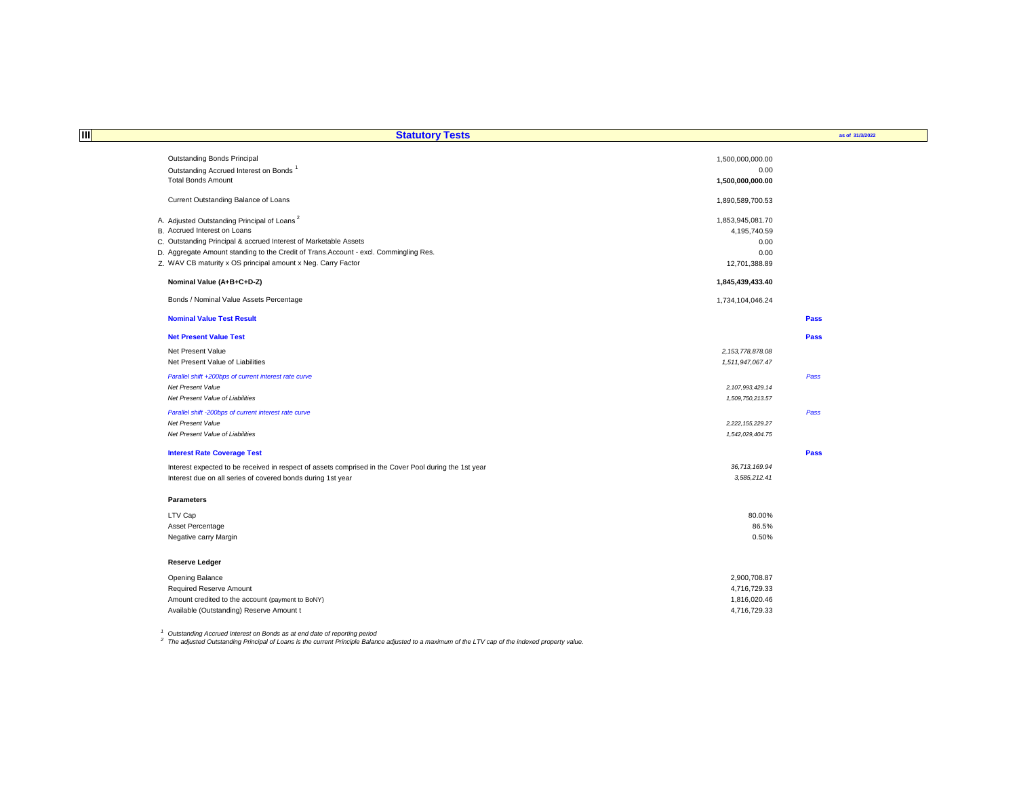| Ш<br><b>Statutory Tests</b>                                                                           |                                  | as of 31/3/2022 |
|-------------------------------------------------------------------------------------------------------|----------------------------------|-----------------|
| Outstanding Bonds Principal                                                                           |                                  |                 |
| Outstanding Accrued Interest on Bonds <sup>1</sup>                                                    | 1,500,000,000.00<br>0.00         |                 |
| <b>Total Bonds Amount</b>                                                                             | 1,500,000,000.00                 |                 |
|                                                                                                       |                                  |                 |
| Current Outstanding Balance of Loans                                                                  | 1,890,589,700.53                 |                 |
|                                                                                                       |                                  |                 |
| A. Adjusted Outstanding Principal of Loans <sup>2</sup><br>B. Accrued Interest on Loans               | 1,853,945,081.70<br>4,195,740.59 |                 |
| C. Outstanding Principal & accrued Interest of Marketable Assets                                      | 0.00                             |                 |
| D. Aggregate Amount standing to the Credit of Trans. Account - excl. Commingling Res.                 | 0.00                             |                 |
| Z. WAV CB maturity x OS principal amount x Neg. Carry Factor                                          | 12,701,388.89                    |                 |
|                                                                                                       |                                  |                 |
| Nominal Value (A+B+C+D-Z)                                                                             | 1,845,439,433.40                 |                 |
| Bonds / Nominal Value Assets Percentage                                                               | 1,734,104,046.24                 |                 |
| <b>Nominal Value Test Result</b>                                                                      |                                  | Pass            |
| <b>Net Present Value Test</b>                                                                         |                                  | Pass            |
| Net Present Value                                                                                     | 2, 153, 778, 878.08              |                 |
| Net Present Value of Liabilities                                                                      | 1,511,947,067.47                 |                 |
| Parallel shift +200bps of current interest rate curve                                                 |                                  | Pass            |
| <b>Net Present Value</b>                                                                              | 2, 107, 993, 429.14              |                 |
| Net Present Value of Liabilities                                                                      | 1,509,750,213.57                 |                 |
| Parallel shift -200bps of current interest rate curve                                                 |                                  | Pass            |
| Net Present Value                                                                                     | 2,222,155,229.27                 |                 |
| Net Present Value of Liabilities                                                                      | 1,542,029,404.75                 |                 |
|                                                                                                       |                                  |                 |
| <b>Interest Rate Coverage Test</b>                                                                    |                                  | <b>Pass</b>     |
| Interest expected to be received in respect of assets comprised in the Cover Pool during the 1st year | 36,713,169.94                    |                 |
| Interest due on all series of covered bonds during 1st year                                           | 3,585,212.41                     |                 |
| <b>Parameters</b>                                                                                     |                                  |                 |
| LTV Cap                                                                                               | 80.00%                           |                 |
| Asset Percentage                                                                                      | 86.5%                            |                 |
| Negative carry Margin                                                                                 | 0.50%                            |                 |
| <b>Reserve Ledger</b>                                                                                 |                                  |                 |
| Opening Balance                                                                                       | 2,900,708.87                     |                 |
| Required Reserve Amount                                                                               | 4,716,729.33                     |                 |
| Amount credited to the account (payment to BoNY)                                                      | 1,816,020.46                     |                 |
| Available (Outstanding) Reserve Amount t                                                              | 4.716.729.33                     |                 |

<sup>1</sup> Outstanding Accrued Interest on Bonds as at end date of reporting period<br><sup>2</sup> The adjusted Outstanding Principal of Loans is the current Principle Balance adjusted to a maximum of the LTV cap of the indexed property val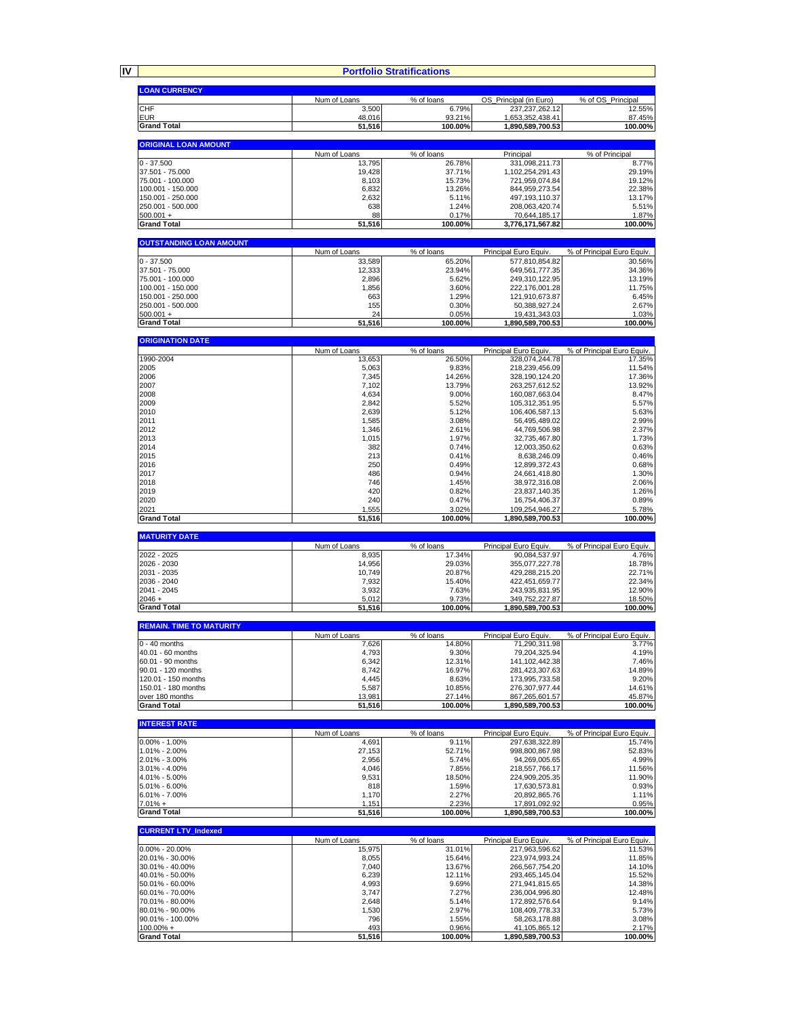|                                           |                        | <b>Portfolio Stratifications</b> |                                             |                                      |
|-------------------------------------------|------------------------|----------------------------------|---------------------------------------------|--------------------------------------|
| <b>LOAN CURRENCY</b>                      |                        |                                  |                                             |                                      |
| <b>CHF</b>                                | Num of Loans<br>3,500  | % of loans<br>6.79%              | OS_Principal (in Euro)<br>237, 237, 262. 12 | % of OS Principal<br>12.55%          |
| <b>EUR</b>                                | 48,016                 | 93.21%                           | 1,653,352,438.41                            | 87.45%                               |
| <b>Grand Total</b>                        | 51,516                 | 100.00%                          | 1,890,589,700.53                            | 100.00%                              |
| <b>ORIGINAL LOAN AMOUNT</b>               |                        |                                  |                                             |                                      |
| $0 - 37.500$                              | Num of Loans<br>13,795 | % of loans<br>26.78%             | Principal<br>331,098,211.73                 | % of Principal<br>8.77%              |
| 37.501 - 75.000                           | 19,428                 | 37.71%                           | 1,102,254,291.43                            | 29.19%                               |
| 75.001 - 100.000                          | 8,103                  | 15.73%                           | 721,959,074.84                              | 19.12%                               |
| 100.001 - 150.000<br>150.001 - 250.000    | 6,832<br>2,632         | 13.26%<br>5.11%                  | 844,959,273.54<br>497,193,110.37            | 22.38%<br>13.17%                     |
| 250.001 - 500.000                         | 638                    | 1.24%                            | 208,063,420.74                              | 5.51%                                |
| $500.001 +$                               | 88                     | 0.17%                            | 70,644,185.17                               | 1.87%                                |
| <b>Grand Total</b>                        | 51,516                 | 100.00%                          | 3,776,171,567.82                            | 100.00%                              |
| <b>OUTSTANDING LOAN AMOUNT</b>            | Num of Loans           | % of loans                       | Principal Euro Equiv.                       | % of Principal Euro Equiv.           |
| $0 - 37.500$                              | 33,589                 | 65.20%                           | 577,810,854.82                              | 30.56%                               |
| 37.501 - 75.000                           | 12,333                 | 23.94%                           | 649,561,777.35                              | 34.36%                               |
| 75.001 - 100.000<br>100.001 - 150.000     | 2,896<br>1,856         | 5.62%<br>3.60%                   | 249,310,122.95<br>222,176,001.28            | 13.19%<br>11.75%                     |
| 150.001 - 250.000                         | 663                    | 1.29%                            | 121,910,673.87                              | 6.45%                                |
| 250.001 - 500.000                         | 155                    | 0.30%                            | 50,388,927.24                               | 2.67%                                |
| $500.001 +$<br><b>Grand Total</b>         | 24<br>51,516           | 0.05%<br>100.00%                 | 19,431,343.03<br>1,890,589,700.53           | 1.03%<br>100.00%                     |
|                                           |                        |                                  |                                             |                                      |
| <b>ORIGINATION DATE</b>                   | Num of Loans           | % of loans                       | Principal Euro Equiv.                       | % of Principal Euro Equiv.           |
| 1990-2004                                 | 13,653                 | 26.50%                           | 328,074,244.78                              | 17.35%                               |
| 2005<br>2006                              | 5,063<br>7,345         | 9.83%<br>14.26%                  | 218,239,456.09                              | 11.54%<br>17.36%                     |
| 2007                                      | 7,102                  | 13.79%                           | 328,190,124.20<br>263,257,612.52            | 13.92%                               |
| 2008                                      | 4,634                  | 9.00%                            | 160,087,663.04                              | 8.47%                                |
| 2009                                      | 2,842                  | 5.52%                            | 105,312,351.95                              | 5.57%<br>5.63%                       |
| 2010<br>2011                              | 2,639<br>1,585         | 5.12%<br>3.08%                   | 106,406,587.13<br>56,495,489.02             |                                      |
| 2012                                      | 1,346                  | 2.61%                            | 44,769,506.98                               | 2.99%<br>2.37%                       |
| 2013                                      | 1,015                  | 1.97%                            | 32,735,467.80                               | 1.73%                                |
| 2014<br>2015                              | 382<br>213             | 0.74%<br>0.41%                   | 12,003,350.62<br>8,638,246.09               | 0.63%                                |
| 2016                                      | 250                    | 0.49%                            | 12,899,372.43                               | 0.46%<br>0.68%                       |
| 2017                                      | 486                    | 0.94%                            | 24,661,418.80                               | 1.30%                                |
| 2018                                      | 746                    | 1.45%                            | 38,972,316.08                               | 2.06%                                |
| 2019<br>2020                              | 420<br>240             | 0.82%<br>0.47%                   | 23,837,140.35<br>16,754,406.37              | 1.26%<br>0.89%                       |
| 2021                                      | 1,555                  | 3.02%                            | 109,254,946.27                              | 5.78%                                |
| <b>Grand Total</b>                        | 51,516                 | 100.00%                          | 1,890,589,700.53                            | 100.00%                              |
| <b>MATURITY DATE</b>                      |                        |                                  |                                             |                                      |
| 2022 - 2025                               | Num of Loans<br>8,935  | % of loans<br>17.34%             | Principal Euro Equiv.<br>90,084,537.97      | % of Principal Euro Equiv.<br>4.76%  |
| 2026 - 2030                               | 14,956                 | 29.03%                           | 355,077,227.78                              | 18.78%                               |
| 2031 - 2035                               | 10,749                 | 20.87%                           | 429,288,215.20                              | 22.71%                               |
| 2036 - 2040<br>2041 - 2045                | 7,932<br>3,932         | 15.40%<br>7.63%                  | 422,451,659.77<br>243,935,831.95            | 22.34%<br>12.90%                     |
| $2046 +$                                  | 5,012                  | 9.73%                            | 349,752,227.87                              | 18.50%                               |
| <b>Grand Total</b>                        | 51,516                 | 100.00%                          | 1,890,589,700.53                            | 100.00%                              |
| <b>REMAIN. TIME TO MATURITY</b>           |                        |                                  |                                             |                                      |
| $0 - 40$ months                           | Num of Loans<br>7,626  | % of loans<br>14.80%             | Principal Euro Equiv.<br>71,290,311.98      | % of Principal Euro Equiv.<br>3.77%  |
| 40.01 - 60 months                         | 4,793                  | 9.30%                            | 79,204,325.94                               | 4.19%                                |
| 60.01 - 90 months                         | 6,342                  | 12.31%                           | 141,102,442.38                              | 7.46%                                |
| 90.01 - 120 months<br>120.01 - 150 months | 8,742<br>4,445         | 16.97%<br>8.63%                  | 281,423,307.63<br>173,995,733.58            | 14.89%<br>9.20%                      |
| 150.01 - 180 months                       | 5,587                  | 10.85%                           | 276,307,977.44                              | 14.61%                               |
| over 180 months                           | 13,981                 | 27.14%                           | 867.265.601.57                              | 45.87%                               |
| <b>Grand Total</b>                        | 51,516                 | 100.00%                          | 1,890,589,700.53                            | 100.00%                              |
| <b>INTEREST RATE</b>                      |                        |                                  |                                             |                                      |
| $0.00\% - 1.00\%$                         | Num of Loans<br>4,691  | % of loans<br>9.11%              | Principal Euro Equiv<br>297,638,322.89      | % of Principal Euro Equiv.<br>15.74% |
| 1.01% - 2.00%                             | 27,153                 | 52.71%                           | 998,800,867.98                              | 52.83%                               |
| 2.01% - 3.00%                             | 2,956                  | 5.74%                            | 94,269,005.65                               | 4.99%                                |
| 3.01% - 4.00%<br>4.01% - 5.00%            | 4,046<br>9,531         | 7.85%<br>18.50%                  | 218,557,766.17<br>224,909,205.35            | 11.56%<br>11.90%                     |
| 5.01% - 6.00%                             | 818                    | 1.59%                            | 17,630,573.81                               | 0.93%                                |
| $6.01\% - 7.00\%$                         | 1,170                  | 2.27%                            | 20,892,865.76                               | 1.11%                                |
| $7.01% +$<br><b>Grand Total</b>           | 1,151<br>51,516        | 2.23%<br>100.00%                 | 17,891,092.92<br>1,890,589,700.53           | 0.95%<br>100.00%                     |
|                                           |                        |                                  |                                             |                                      |
| <b>CURRENT LTV_Indexed</b>                | Num of Loans           | % of loans                       | Principal Euro Equiv.                       | % of Principal Euro Equiv.           |
| $0.00\% - 20.00\%$                        | 15,975                 | 31.01%                           | 217,963,596.62                              | 11.53%                               |
| 20.01% - 30.00%                           | 8,055                  | 15.64%                           | 223,974,993.24                              | 11.85%                               |
| 30.01% - 40.00%<br>40.01% - 50.00%        | 7,040<br>6,239         | 13.67%<br>12.11%                 | 266,567,754.20<br>293,465,145.04            | 14.10%<br>15.52%                     |
| 50.01% - 60.00%                           | 4,993                  | 9.69%                            | 271,941,815.65                              | 14.38%                               |
| 60.01% - 70.00%                           | 3,747                  | 7.27%                            | 236,004,996.80                              | 12.48%                               |
| 70.01% - 80.00%<br>80.01% - 90.00%        | 2,648<br>1,530         | 5.14%<br>2.97%                   | 172,892,576.64<br>108,409,778.33            | 9.14%<br>5.73%                       |
| 90.01% - 100.00%                          | 796                    | 1.55%                            | 58,263,178.88                               | 3.08%                                |
|                                           |                        |                                  |                                             |                                      |
| $100.00\% +$<br><b>Grand Total</b>        | 493<br>51,516          | 0.96%<br>100.00%                 | 41,105,865.12<br>1,890,589,700.53           | 2.17%<br>100.00%                     |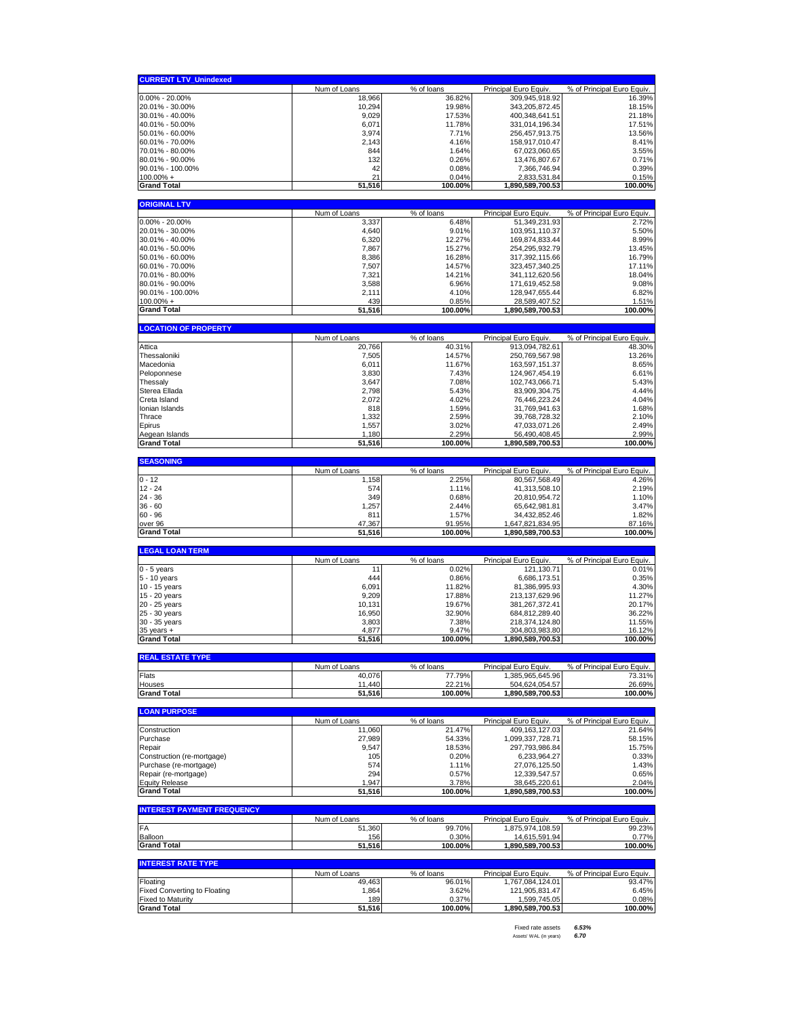| <b>CURRENT LTV_Unindexed</b>                                    |                        |                      |                                           |                                      |
|-----------------------------------------------------------------|------------------------|----------------------|-------------------------------------------|--------------------------------------|
|                                                                 | Num of Loans           | % of loans           | Principal Euro Equiv.                     | % of Principal Euro Equiv.           |
| $0.00\% - 20.00\%$                                              | 18.966                 | 36.82%               | 309,945,918.92                            | 16.39%                               |
| 20.01% - 30.00%                                                 | 10,294                 | 19.98%               | 343,205,872.45                            | 18.15%<br>21.18%                     |
| 30.01% - 40.00%                                                 | 9,029                  | 17.53%               | 400,348,641.51                            |                                      |
| 40.01% - 50.00%<br>50.01% - 60.00%                              | 6,071<br>3,974         | 11.78%<br>7.71%      | 331,014,196.34                            | 17.51%<br>13.56%                     |
| 60.01% - 70.00%                                                 | 2,143                  | 4.16%                | 256,457,913.75<br>158.917.010.47          | 8.41%                                |
| 70.01% - 80.00%                                                 | 844                    | 1.64%                | 67,023,060.65                             | 3.55%                                |
| 80.01% - 90.00%                                                 | 132                    | 0.26%                | 13,476,807.67                             | 0.71%                                |
| 90.01% - 100.00%                                                | 42                     | 0.08%                | 7,366,746.94                              | 0.39%                                |
| $100.00\% +$                                                    | 21                     | 0.04%                | 2,833,531.84                              | 0.15%                                |
| <b>Grand Total</b>                                              | 51,516                 | 100.00%              | 1,890,589,700.53                          | 100.00%                              |
| <b>ORIGINAL LTV</b>                                             |                        |                      |                                           |                                      |
|                                                                 | Num of Loans           | % of loans           | Principal Euro Equiv                      | % of Principal Euro Equiv.           |
| $0.00\% - 20.00\%$                                              | 3,337                  | 6.48%                | 51,349,231.93                             | 2.72%                                |
| 20.01% - 30.00%                                                 | 4,640                  | 9.01%                | 103,951,110.37                            | 5.50%                                |
| 30.01% - 40.00%                                                 | 6,320                  | 12.27%               | 169,874,833.44                            | 8.99%                                |
| 40.01% - 50.00%                                                 | 7,867                  | 15.27%               | 254,295,932.79                            | 13.45%                               |
| 50.01% - 60.00%                                                 | 8,386                  | 16.28%               | 317,392,115.66                            | 16.79%                               |
| 60.01% - 70.00%<br>70.01% - 80.00%                              | 7,507                  | 14.57%               | 323,457,340.25                            | 17.11%<br>18.04%                     |
| 80.01% - 90.00%                                                 | 7,321<br>3,588         | 14.21%<br>6.96%      | 341,112,620.56<br>171,619,452.58          | 9.08%                                |
| 90.01% - 100.00%                                                | 2,111                  | 4.10%                | 128,947,655.44                            | 6.82%                                |
| $100.00\% +$                                                    | 439                    | 0.85%                | 28,589,407.52                             | 1.51%                                |
| <b>Grand Total</b>                                              | 51,516                 | 100.00%              | 1,890,589,700.53                          | 100.00%                              |
|                                                                 |                        |                      |                                           |                                      |
| <b>LOCATION OF PROPERTY</b>                                     | Num of Loans           | % of loans           | Principal Euro Equiv                      | % of Principal Euro Equiv.           |
| Attica                                                          | 20,766                 | 40.31%               | 913,094,782.61                            | 48.30%                               |
| Thessaloniki                                                    | 7,505                  | 14.57%               | 250,769,567.98                            | 13.26%                               |
| Macedonia                                                       | 6,011                  | 11.67%               | 163,597,151.37                            | 8.65%                                |
| Peloponnese                                                     | 3,830                  | 7.43%                | 124,967,454.19                            | 6.61%                                |
| Thessaly                                                        | 3,647                  | 7.08%                | 102,743,066.71                            | 5.43%                                |
| Sterea Ellada                                                   | 2,798                  | 5.43%                | 83,909,304.75                             | 4.44%                                |
| Creta Island                                                    | 2,072                  | 4.02%                | 76,446,223.24                             | 4.04%                                |
| Ionian Islands                                                  | 818                    | 1.59%                | 31,769,941.63                             | 1.68%                                |
| Thrace                                                          | 1,332                  | 2.59%                | 39,768,728.32                             | 2.10%                                |
| Epirus<br>Aegean Islands                                        | 1,557<br>1,180         | 3.02%<br>2.29%       | 47,033,071.26<br>56,490,408.45            | 2.49%<br>2.99%                       |
| <b>Grand Total</b>                                              | 51,516                 | 100.00%              | 1,890,589,700.53                          | 100.00%                              |
|                                                                 |                        |                      |                                           |                                      |
| <b>SEASONING</b>                                                |                        |                      |                                           |                                      |
| $0 - 12$                                                        | Num of Loans<br>1,158  | % of loans<br>2.25%  | Principal Euro Equiv.<br>80,567,568.49    | % of Principal Euro Equiv.<br>4.26%  |
| $12 - 24$                                                       | 574                    | 1.11%                | 41,313,508.10                             | 2.19%                                |
| $24 - 36$                                                       | 349                    | 0.68%                | 20,810,954.72                             | 1.10%                                |
| $36 - 60$                                                       | 1,257                  | 2.44%                | 65,642,981.81                             | 3.47%                                |
| $60 - 96$                                                       | 811                    | 1.57%                | 34,432,852.46                             | 1.82%                                |
| over 96                                                         | 47,367                 | 91.95%               | 1,647,821,834.95                          | 87.16%                               |
| <b>Grand Total</b>                                              | 51,516                 | 100.00%              | 1,890,589,700.53                          | 100.00%                              |
| <b>LEGAL LOAN TERM</b>                                          |                        |                      |                                           |                                      |
|                                                                 | Num of Loans           | % of loans           | Principal Euro Equiv                      | % of Principal Euro Equiv.           |
| $0 - 5$ years                                                   | 11                     | 0.02%                | 121,130.71                                | 0.01%                                |
| 5 - 10 years                                                    | 444                    | 0.86%                |                                           |                                      |
| 10 - 15 years                                                   |                        |                      | 6,686,173.51                              | 0.35%                                |
|                                                                 | 6,091                  | 11.82%               | 81,386,995.93                             | 4.30%                                |
| 15 - 20 years                                                   | 9,209                  | 17.88%               | 213,137,629.96                            | 11.27%                               |
| 20 - 25 years                                                   | 10,131                 | 19.67%               | 381,267,372.41                            | 20.17%                               |
| 25 - 30 years                                                   | 16,950                 | 32.90%               | 684,812,289.40                            | 36.22%                               |
| 30 - 35 years                                                   | 3,803                  | 7.38%                | 218,374,124.80                            | 11.55%                               |
| $35$ years $+$<br><b>Grand Total</b>                            | 4,877<br>51,516        | 9.47%<br>100.00%     | 304,803,983.80<br>1,890,589,700.53        | 16.12%<br>100.00%                    |
|                                                                 |                        |                      |                                           |                                      |
| <b>REAL ESTATE TYPE</b>                                         |                        |                      |                                           |                                      |
| Flats                                                           | Num of Loans<br>40,076 | % of loans<br>77.79% | Principal Euro Equiv.<br>1.385.965.645.96 | % of Principal Euro Equiv.<br>73.31% |
| Houses                                                          | 11.440                 | 22.21%               | 504,624,054.57                            | 26.69%                               |
| <b>Grand Total</b>                                              | 51,516                 | 100.00%              | 1,890,589,700.53                          | 100.00%                              |
|                                                                 |                        |                      |                                           |                                      |
| <b>LOAN PURPOSE</b>                                             | Num of Loans           | % of loans           | Principal Euro Equiv.                     | % of Principal Euro Equiv.           |
| Construction                                                    | 11,060                 | 21.47%               | 409,163,127.03                            | 21.64%                               |
| Purchase                                                        | 27.989                 | 54.33%               | 1,099,337,728.71                          | 58.15%                               |
| Repair                                                          | 9,547                  | 18.53%               | 297,793,986.84                            | 15.75%                               |
| Construction (re-mortgage)                                      | 105                    | 0.20%                | 6,233,964.27                              | 0.33%                                |
| Purchase (re-mortgage)                                          | 574                    | 1.11%                | 27,076,125.50                             | 1.43%                                |
| Repair (re-mortgage)                                            | 294                    | 0.57%                | 12,339,547.57                             | 0.65%                                |
| <b>Equity Release</b>                                           | 1,947                  | 3.78%                | 38,645,220.61                             | 2.04%                                |
| <b>Grand Total</b>                                              | 51,516                 | 100.00%              | 1,890,589,700.53                          | 100.00%                              |
| <b>INTEREST PAYMENT FREQUENCY</b>                               |                        |                      |                                           |                                      |
|                                                                 | Num of Loans           | % of loans           | Principal Euro Equiv.                     | % of Principal Euro Equiv.           |
| FA                                                              | 51,360                 | 99.70%               | 1,875,974,108.59                          | 99.23%                               |
| Balloon<br><b>Grand Total</b>                                   | 156<br>51,516          | 0.30%<br>100.00%     | 14,615,591.94<br>1,890,589,700.53         | 0.77%<br>100.00%                     |
|                                                                 |                        |                      |                                           |                                      |
| <b>INTEREST RATE TYPE</b>                                       |                        |                      |                                           |                                      |
|                                                                 | Num of Loans           | % of loans           | Principal Euro Equiv.                     | % of Principal Euro Equiv.           |
| Floating                                                        | 49,463                 | 96.01%               | 1,767,084,124.01                          | 93.47%                               |
| <b>Fixed Converting to Floating</b><br><b>Fixed to Maturity</b> | 1,864<br>189           | 3.62%<br>0.37%       | 121,905,831.47<br>1,599,745.05            | 6.45%<br>0.08%                       |